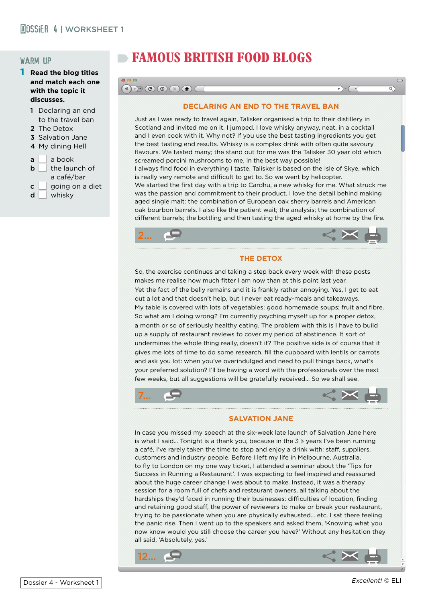# warm up

- 1 **Read the blog titles and match each one with the topic it discusses.** 
	- 1 Declaring an end to the travel ban
	- 2 The Detox
	- 3 Salvation Jane
	- 4 My dining Hell
	- $a \mid a$  hook
	- $\mathsf{b}$  | the launch of a café/bar
	- $c \mid$  going on a diet  $d$  whisky
		-

# **FAMOUS BRITISH FOOD BLOGS**

### $\textcolor{blue}{\textcolor{blue}{\textbf{D} \cdot \textbf{C}}} \textcolor{blue}{\textcolor{blue}{\textbf{C} \cdot \textbf{C}}} \textcolor{blue}{\textcolor{blue}{\textbf{A}}} \textcolor{blue}{\textcolor{blue}{\textbf{C} \cdot \textbf{C}}} \textcolor{blue}{\textcolor{blue}{\textbf{A}}} \textcolor{blue}{\textcolor{blue}{\textbf{A}}} \textcolor{blue}{\textcolor{blue}{\textbf{A}}} \textcolor{blue}{\textcolor{blue}{\textbf{A}}} \textcolor{blue}{\textcolor{blue}{\textbf{A}}} \textcolor{blue}{\textcolor{blue}{\textbf{A}}} \textcolor{blue}{\textcolor{blue}{\textbf{$

#### **DECLARING AN END TO THE TRAVEL BAN**

Just as I was ready to travel again, Talisker organised a trip to their distillery in Scotland and invited me on it. I jumped. I love whisky anyway, neat, in a cocktail and I even cook with it. Why not? If you use the best tasting ingredients you get the best tasting end results. Whisky is a complex drink with often quite savoury flavours. We tasted many; the stand out for me was the Talisker 30 year old which screamed porcini mushrooms to me, in the best way possible! I always find food in everything I taste. Talisker is based on the Isle of Skye, which is really very remote and difficult to get to. So we went by helicopter. We started the first day with a trip to Cardhu, a new whisky for me. What struck me was the passion and commitment to their product. I love the detail behind making aged single malt: the combination of European oak sherry barrels and American oak bourbon barrels. I also like the patient wait; the analysis; the combination of different barrels; the bottling and then tasting the aged whisky at home by the fire.



#### **THE DETOX**

So, the exercise continues and taking a step back every week with these posts makes me realise how much fitter I am now than at this point last year. Yet the fact of the belly remains and it is frankly rather annoying. Yes, I get to eat out a lot and that doesn't help, but I never eat ready-meals and takeaways. My table is covered with lots of vegetables; good homemade soups; fruit and fibre. So what am I doing wrong? I'm currently psyching myself up for a proper detox, a month or so of seriously healthy eating. The problem with this is I have to build up a supply of restaurant reviews to cover my period of abstinence. It sort of undermines the whole thing really, doesn't it? The positive side is of course that it gives me lots of time to do some research, fill the cupboard with lentils or carrots and ask you lot: when you've overindulged and need to pull things back, what's your preferred solution? I'll be having a word with the professionals over the next few weeks, but all suggestions will be gratefully received... So we shall see.





#### **SALVATION JANE**

In case you missed my speech at the six-week late launch of Salvation Jane here is what I said... Tonight is a thank you, because in the  $3\%$  years I've been running a café, I've rarely taken the time to stop and enjoy a drink with: staff, suppliers, customers and industry people. Before I left my life in Melbourne, Australia, to fly to London on my one way ticket, I attended a seminar about the 'Tips for Success in Running a Restaurant'. I was expecting to feel inspired and reassured about the huge career change I was about to make. Instead, it was a therapy session for a room full of chefs and restaurant owners, all talking about the hardships they'd faced in running their businesses: difficulties of location, finding and retaining good staff, the power of reviewers to make or break your restaurant, trying to be passionate when you are physically exhausted... etc. I sat there feeling the panic rise. Then I went up to the speakers and asked them, 'Knowing what you now know would you still choose the career you have?' Without any hesitation they all said, 'Absolutely, yes.'